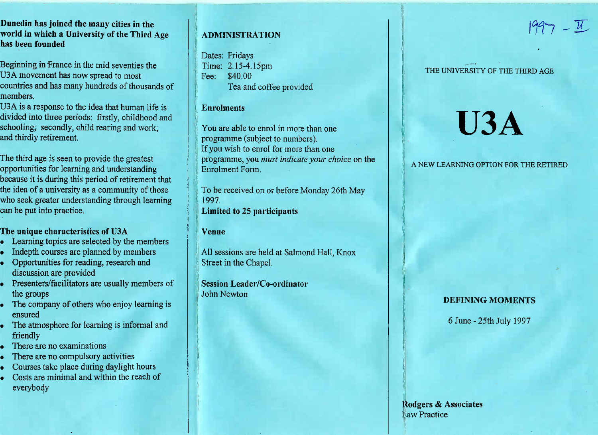**Dunedin has joined the many cities in the world in which a University of the Third Agehas been founded**

Beginning in France in the mid seventies theU3A movement has now spread to most countries and has many hundreds of thousands ofmembers.

 USA is a response to the idea that human life is divided into three periods: firstly, childhood andschooling; secondly, child rearing and work;and thirdly retirement.

The third age is seen to provide the greatest opportunities for learning and understanding because it is during this period of retirement that the idea of a university as a community of those who seek greater understanding through learningcan be put into practice.

# **The unique characteristics of U3A**

- Learning topics are selected by the members
- Indepth courses are planned by members
- Opportunities for reading, research anddiscussion are provided
- Presenters/facilitators are usually members ofthe groups
- The company of others who enjoy learning isensured
- The atmosphere for learning is informal and friendly
- There are no examinations
- There are no compulsory activities
- Courses take place during daylight hours
- Costs are minimal and within the reach ofeverybody

# **ADMINISTRATION**

Dates: Fridays Time: 2.15-4.15pmFee: \$40.00Tea and coffee provided

## **Enrolments**

You are able to enrol in more than oneprogramme (subject to numbers). If you wish to enrol for more than one programme, you *must indicate your choice* on theEnrolment Form.

To be received on or before Monday 26th May1997,**Limited to 25 participants**

#### **Venue**

All sessions are held at Salmond Hall, KnoxStreet in the Chapel.

**Session Leader/Co-ordinator**John Newton

# THE UNIVERSITY OF THE THIRD AGE

 $1997 - 11$ 

# **U3A**

### A NEW LEARNING OPTION FOR THE RETIRED

# **DEFINING MOMENTS**

6 June-25th July 1997

**Kodgers** & AssociatesLaw Practice